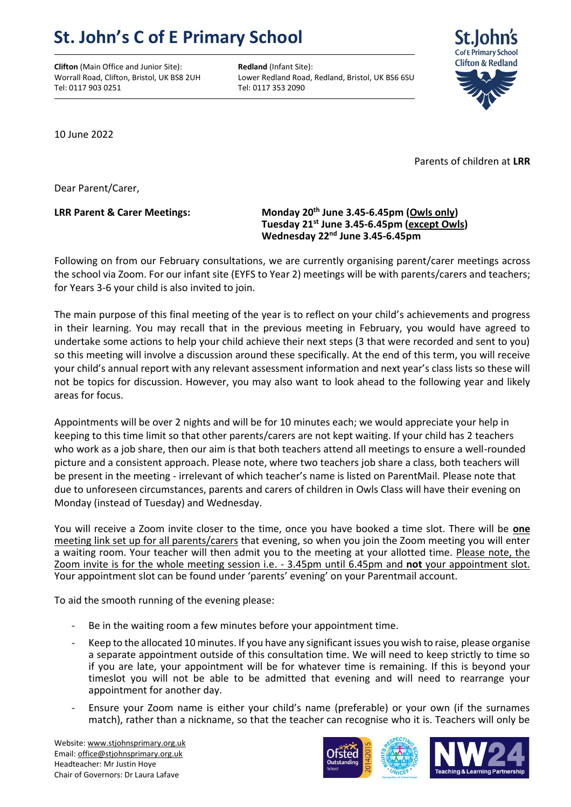## **St. John's C of E Primary School**

**Clifton** (Main Office and Junior Site): **Redland** (Infant Site): Tel: 0117 903 0251 Tel: 0117 353 2090

Worrall Road, Clifton, Bristol, UK BS8 2UH Lower Redland Road, Redland, Bristol, UK BS6 6SU



10 June 2022

Parents of children at **LRR**

Dear Parent/Carer,

## **LRR Parent & Carer Meetings: Monday 20th June 3.45-6.45pm (Owls only) Tuesday 21st June 3.45-6.45pm (except Owls) Wednesday 22nd June 3.45-6.45pm**

Following on from our February consultations, we are currently organising parent/carer meetings across the school via Zoom. For our infant site (EYFS to Year 2) meetings will be with parents/carers and teachers; for Years 3-6 your child is also invited to join.

The main purpose of this final meeting of the year is to reflect on your child's achievements and progress in their learning. You may recall that in the previous meeting in February, you would have agreed to undertake some actions to help your child achieve their next steps (3 that were recorded and sent to you) so this meeting will involve a discussion around these specifically. At the end of this term, you will receive your child's annual report with any relevant assessment information and next year's class lists so these will not be topics for discussion. However, you may also want to look ahead to the following year and likely areas for focus.

Appointments will be over 2 nights and will be for 10 minutes each; we would appreciate your help in keeping to this time limit so that other parents/carers are not kept waiting. If your child has 2 teachers who work as a job share, then our aim is that both teachers attend all meetings to ensure a well-rounded picture and a consistent approach. Please note, where two teachers job share a class, both teachers will be present in the meeting - irrelevant of which teacher's name is listed on ParentMail. Please note that due to unforeseen circumstances, parents and carers of children in Owls Class will have their evening on Monday (instead of Tuesday) and Wednesday.

You will receive a Zoom invite closer to the time, once you have booked a time slot. There will be **one** meeting link set up for all parents/carers that evening, so when you join the Zoom meeting you will enter a waiting room. Your teacher will then admit you to the meeting at your allotted time. Please note, the Zoom invite is for the whole meeting session i.e. - 3.45pm until 6.45pm and **not** your appointment slot. Your appointment slot can be found under 'parents' evening' on your Parentmail account.

To aid the smooth running of the evening please:

- Be in the waiting room a few minutes before your appointment time.
- Keep to the allocated 10 minutes. If you have any significant issues you wish to raise, please organise a separate appointment outside of this consultation time. We will need to keep strictly to time so if you are late, your appointment will be for whatever time is remaining. If this is beyond your timeslot you will not be able to be admitted that evening and will need to rearrange your appointment for another day.
- Ensure your Zoom name is either your child's name (preferable) or your own (if the surnames match), rather than a nickname, so that the teacher can recognise who it is. Teachers will only be